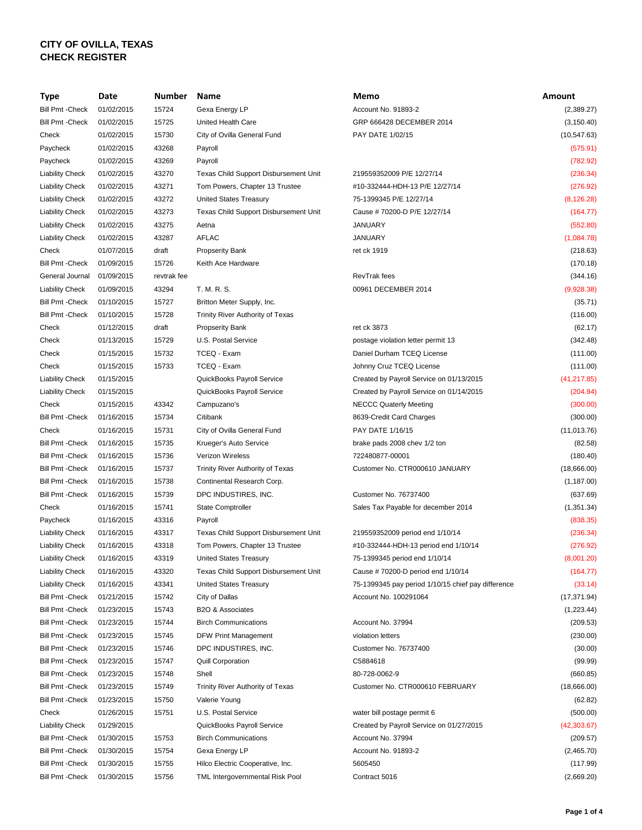## **CITY OF OVILLA, TEXAS CHECK REGISTER**

| Type                    | Date       | Number      | Name                                  | Memo                                               | <b>Amount</b> |
|-------------------------|------------|-------------|---------------------------------------|----------------------------------------------------|---------------|
| <b>Bill Pmt - Check</b> | 01/02/2015 | 15724       | Gexa Energy LP                        | Account No. 91893-2                                | (2,389.27)    |
| <b>Bill Pmt - Check</b> | 01/02/2015 | 15725       | United Health Care                    | GRP 666428 DECEMBER 2014                           | (3, 150.40)   |
| Check                   | 01/02/2015 | 15730       | City of Ovilla General Fund           | PAY DATE 1/02/15                                   | (10, 547.63)  |
| Paycheck                | 01/02/2015 | 43268       | Payroll                               |                                                    | (575.91)      |
| Paycheck                | 01/02/2015 | 43269       | Payroll                               |                                                    | (782.92)      |
| <b>Liability Check</b>  | 01/02/2015 | 43270       | Texas Child Support Disbursement Unit | 219559352009 P/E 12/27/14                          | (236.34)      |
| <b>Liability Check</b>  | 01/02/2015 | 43271       | Tom Powers, Chapter 13 Trustee        | #10-332444-HDH-13 P/E 12/27/14                     | (276.92)      |
| <b>Liability Check</b>  | 01/02/2015 | 43272       | <b>United States Treasury</b>         | 75-1399345 P/E 12/27/14                            | (8, 126.28)   |
| <b>Liability Check</b>  | 01/02/2015 | 43273       | Texas Child Support Disbursement Unit | Cause #70200-D P/E 12/27/14                        | (164.77)      |
| <b>Liability Check</b>  | 01/02/2015 | 43275       | Aetna                                 | <b>JANUARY</b>                                     | (552.80)      |
| <b>Liability Check</b>  | 01/02/2015 | 43287       | <b>AFLAC</b>                          | <b>JANUARY</b>                                     | (1,084.78)    |
| Check                   | 01/07/2015 | draft       | <b>Propserity Bank</b>                | ret ck 1919                                        | (218.63)      |
| <b>Bill Pmt - Check</b> | 01/09/2015 | 15726       | Keith Ace Hardware                    |                                                    | (170.18)      |
| General Journal         | 01/09/2015 | revtrak fee |                                       | <b>RevTrak</b> fees                                | (344.16)      |
| <b>Liability Check</b>  | 01/09/2015 | 43294       | T. M. R. S.                           | 00961 DECEMBER 2014                                | (9,928.38)    |
| <b>Bill Pmt - Check</b> | 01/10/2015 | 15727       | Britton Meter Supply, Inc.            |                                                    | (35.71)       |
| <b>Bill Pmt - Check</b> | 01/10/2015 | 15728       | Trinity River Authority of Texas      |                                                    | (116.00)      |
| Check                   | 01/12/2015 | draft       | <b>Propserity Bank</b>                | ret ck 3873                                        | (62.17)       |
| Check                   | 01/13/2015 | 15729       | U.S. Postal Service                   | postage violation letter permit 13                 | (342.48)      |
| Check                   | 01/15/2015 | 15732       | TCEQ - Exam                           | Daniel Durham TCEQ License                         | (111.00)      |
|                         | 01/15/2015 | 15733       |                                       | Johnny Cruz TCEQ License                           |               |
| Check                   |            |             | TCEQ - Exam                           |                                                    | (111.00)      |
| <b>Liability Check</b>  | 01/15/2015 |             | QuickBooks Payroll Service            | Created by Payroll Service on 01/13/2015           | (41, 217.85)  |
| <b>Liability Check</b>  | 01/15/2015 |             | QuickBooks Payroll Service            | Created by Payroll Service on 01/14/2015           | (204.94)      |
| Check                   | 01/15/2015 | 43342       | Campuzano's                           | <b>NECCC Quaterly Meeting</b>                      | (300.00)      |
| <b>Bill Pmt - Check</b> | 01/16/2015 | 15734       | Citibank                              | 8639-Credit Card Charges                           | (300.00)      |
| Check                   | 01/16/2015 | 15731       | City of Ovilla General Fund           | PAY DATE 1/16/15                                   | (11, 013.76)  |
| Bill Pmt - Check        | 01/16/2015 | 15735       | Krueger's Auto Service                | brake pads 2008 chev 1/2 ton                       | (82.58)       |
| <b>Bill Pmt - Check</b> | 01/16/2015 | 15736       | <b>Verizon Wireless</b>               | 722480877-00001                                    | (180.40)      |
| Bill Pmt - Check        | 01/16/2015 | 15737       | Trinity River Authority of Texas      | Customer No. CTR000610 JANUARY                     | (18,666.00)   |
| Bill Pmt - Check        | 01/16/2015 | 15738       | Continental Research Corp.            |                                                    | (1, 187.00)   |
| Bill Pmt - Check        | 01/16/2015 | 15739       | DPC INDUSTIRES, INC.                  | Customer No. 76737400                              | (637.69)      |
| Check                   | 01/16/2015 | 15741       | <b>State Comptroller</b>              | Sales Tax Payable for december 2014                | (1, 351.34)   |
| Paycheck                | 01/16/2015 | 43316       | Payroll                               |                                                    | (838.35)      |
| <b>Liability Check</b>  | 01/16/2015 | 43317       | Texas Child Support Disbursement Unit | 219559352009 period end 1/10/14                    | (236.34)      |
| <b>Liability Check</b>  | 01/16/2015 | 43318       | Tom Powers, Chapter 13 Trustee        | #10-332444-HDH-13 period end 1/10/14               | (276.92)      |
| <b>Liability Check</b>  | 01/16/2015 | 43319       | <b>United States Treasury</b>         | 75-1399345 period end 1/10/14                      | (8,001.20)    |
| <b>Liability Check</b>  | 01/16/2015 | 43320       | Texas Child Support Disbursement Unit | Cause #70200-D period end 1/10/14                  | (164.77)      |
| <b>Liability Check</b>  | 01/16/2015 | 43341       | <b>United States Treasury</b>         | 75-1399345 pay period 1/10/15 chief pay difference | (33.14)       |
| <b>Bill Pmt - Check</b> | 01/21/2015 | 15742       | City of Dallas                        | Account No. 100291064                              | (17, 371.94)  |
| Bill Pmt - Check        | 01/23/2015 | 15743       | B2O & Associates                      |                                                    | (1,223.44)    |
| <b>Bill Pmt - Check</b> | 01/23/2015 | 15744       | <b>Birch Communications</b>           | Account No. 37994                                  | (209.53)      |
| <b>Bill Pmt - Check</b> | 01/23/2015 | 15745       | DFW Print Management                  | violation letters                                  | (230.00)      |
| <b>Bill Pmt - Check</b> | 01/23/2015 | 15746       | DPC INDUSTIRES, INC.                  | Customer No. 76737400                              | (30.00)       |
| <b>Bill Pmt - Check</b> | 01/23/2015 | 15747       | <b>Quill Corporation</b>              | C5884618                                           | (99.99)       |
| <b>Bill Pmt - Check</b> | 01/23/2015 | 15748       | Shell                                 | 80-728-0062-9                                      | (660.85)      |
| Bill Pmt - Check        | 01/23/2015 | 15749       | Trinity River Authority of Texas      | Customer No. CTR000610 FEBRUARY                    | (18,666.00)   |
| <b>Bill Pmt - Check</b> | 01/23/2015 | 15750       | Valerie Young                         |                                                    | (62.82)       |
| Check                   | 01/26/2015 | 15751       | U.S. Postal Service                   | water bill postage permit 6                        | (500.00)      |
| <b>Liability Check</b>  | 01/29/2015 |             | QuickBooks Payroll Service            | Created by Payroll Service on 01/27/2015           | (42, 303.67)  |
| <b>Bill Pmt - Check</b> | 01/30/2015 | 15753       | <b>Birch Communications</b>           | Account No. 37994                                  | (209.57)      |
| <b>Bill Pmt - Check</b> | 01/30/2015 | 15754       | Gexa Energy LP                        | Account No. 91893-2                                | (2,465.70)    |
| <b>Bill Pmt - Check</b> | 01/30/2015 | 15755       | Hilco Electric Cooperative, Inc.      | 5605450                                            | (117.99)      |
| Bill Pmt - Check        | 01/30/2015 | 15756       | TML Intergovernmental Risk Pool       | Contract 5016                                      | (2,669.20)    |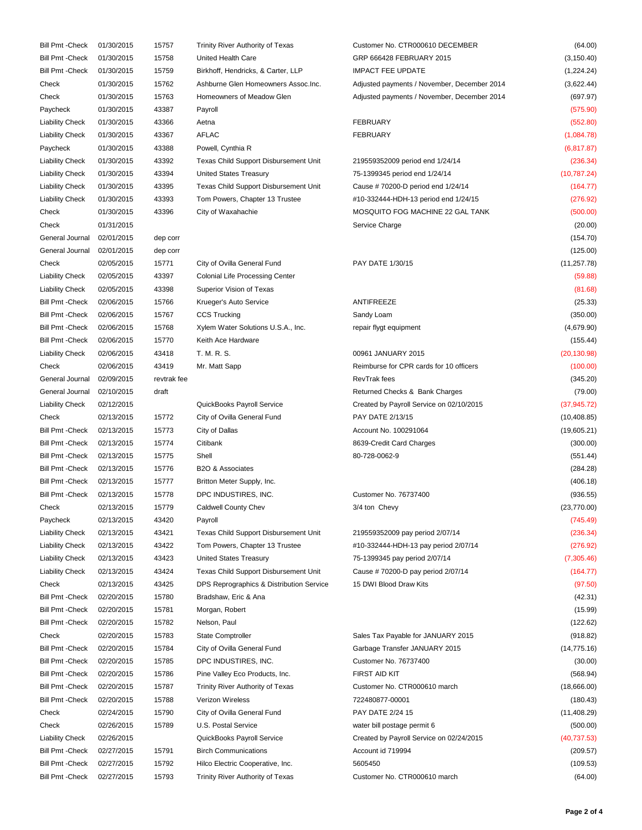| Bill Pmt - Check        | 01/30/2015 | 15757       | Trinity River Authority of Texas              | Customer No. CTR000610 DECEMBER             | (64.00)      |
|-------------------------|------------|-------------|-----------------------------------------------|---------------------------------------------|--------------|
| <b>Bill Pmt - Check</b> | 01/30/2015 | 15758       | United Health Care                            | GRP 666428 FEBRUARY 2015                    | (3, 150.40)  |
| <b>Bill Pmt - Check</b> | 01/30/2015 | 15759       | Birkhoff, Hendricks, & Carter, LLP            | <b>IMPACT FEE UPDATE</b>                    | (1,224.24)   |
| Check                   | 01/30/2015 | 15762       | Ashburne Glen Homeowners Assoc.Inc.           | Adjusted payments / November, December 2014 | (3,622.44)   |
| Check                   | 01/30/2015 | 15763       | Homeowners of Meadow Glen                     | Adjusted payments / November, December 2014 | (697.97)     |
| Paycheck                | 01/30/2015 | 43387       | Payroll                                       |                                             | (575.90)     |
| <b>Liability Check</b>  | 01/30/2015 | 43366       | Aetna                                         | <b>FEBRUARY</b>                             | (552.80)     |
| <b>Liability Check</b>  | 01/30/2015 | 43367       | <b>AFLAC</b>                                  | <b>FEBRUARY</b>                             | (1,084.78)   |
| Paycheck                | 01/30/2015 | 43388       | Powell, Cynthia R                             |                                             | (6, 817.87)  |
| <b>Liability Check</b>  | 01/30/2015 | 43392       | <b>Texas Child Support Disbursement Unit</b>  | 219559352009 period end 1/24/14             | (236.34)     |
| <b>Liability Check</b>  | 01/30/2015 | 43394       | <b>United States Treasury</b>                 | 75-1399345 period end 1/24/14               | (10, 787.24) |
| <b>Liability Check</b>  | 01/30/2015 | 43395       | Texas Child Support Disbursement Unit         | Cause #70200-D period end 1/24/14           | (164.77)     |
| <b>Liability Check</b>  | 01/30/2015 | 43393       | Tom Powers, Chapter 13 Trustee                | #10-332444-HDH-13 period end 1/24/15        | (276.92)     |
| Check                   | 01/30/2015 | 43396       | City of Waxahachie                            | MOSQUITO FOG MACHINE 22 GAL TANK            | (500.00)     |
| Check                   | 01/31/2015 |             |                                               | Service Charge                              | (20.00)      |
| General Journal         | 02/01/2015 | dep corr    |                                               |                                             | (154.70)     |
| General Journal         | 02/01/2015 | dep corr    |                                               |                                             | (125.00)     |
| Check                   | 02/05/2015 | 15771       | City of Ovilla General Fund                   | PAY DATE 1/30/15                            | (11, 257.78) |
| <b>Liability Check</b>  | 02/05/2015 | 43397       | <b>Colonial Life Processing Center</b>        |                                             | (59.88)      |
| <b>Liability Check</b>  | 02/05/2015 | 43398       | Superior Vision of Texas                      |                                             | (81.68)      |
| <b>Bill Pmt - Check</b> | 02/06/2015 | 15766       |                                               | ANTIFREEZE                                  | (25.33)      |
| <b>Bill Pmt - Check</b> | 02/06/2015 | 15767       | Krueger's Auto Service<br><b>CCS Trucking</b> |                                             |              |
|                         |            |             |                                               | Sandy Loam                                  | (350.00)     |
| <b>Bill Pmt - Check</b> | 02/06/2015 | 15768       | Xylem Water Solutions U.S.A., Inc.            | repair flygt equipment                      | (4,679.90)   |
| <b>Bill Pmt - Check</b> | 02/06/2015 | 15770       | Keith Ace Hardware                            |                                             | (155.44)     |
| <b>Liability Check</b>  | 02/06/2015 | 43418       | T. M. R. S.                                   | 00961 JANUARY 2015                          | (20, 130.98) |
| Check                   | 02/06/2015 | 43419       | Mr. Matt Sapp                                 | Reimburse for CPR cards for 10 officers     | (100.00)     |
| General Journal         | 02/09/2015 | revtrak fee |                                               | RevTrak fees                                | (345.20)     |
| General Journal         | 02/10/2015 | draft       |                                               | Returned Checks & Bank Charges              | (79.00)      |
| <b>Liability Check</b>  | 02/12/2015 |             | QuickBooks Payroll Service                    | Created by Payroll Service on 02/10/2015    | (37, 945.72) |
| Check                   | 02/13/2015 | 15772       | City of Ovilla General Fund                   | PAY DATE 2/13/15                            | (10, 408.85) |
| <b>Bill Pmt - Check</b> | 02/13/2015 | 15773       | City of Dallas                                | Account No. 100291064                       | (19,605.21)  |
| Bill Pmt - Check        | 02/13/2015 | 15774       | Citibank                                      | 8639-Credit Card Charges                    | (300.00)     |
| Bill Pmt - Check        | 02/13/2015 | 15775       | Shell                                         | 80-728-0062-9                               | (551.44)     |
| <b>Bill Pmt - Check</b> | 02/13/2015 | 15776       | B2O & Associates                              |                                             | (284.28)     |
| Bill Pmt - Check        | 02/13/2015 | 15777       | Britton Meter Supply, Inc.                    |                                             | (406.18)     |
| Bill Pmt - Check        | 02/13/2015 | 15778       | DPC INDUSTIRES, INC.                          | <b>Customer No. 76737400</b>                | (936.55)     |
| Check                   | 02/13/2015 | 15779       | <b>Caldwell County Chev</b>                   | 3/4 ton Chevy                               | (23, 770.00) |
| Paycheck                | 02/13/2015 | 43420       | Payroll                                       |                                             | (745.49)     |
| <b>Liability Check</b>  | 02/13/2015 | 43421       | Texas Child Support Disbursement Unit         | 219559352009 pay period 2/07/14             | (236.34)     |
| <b>Liability Check</b>  | 02/13/2015 | 43422       | Tom Powers, Chapter 13 Trustee                | #10-332444-HDH-13 pay period 2/07/14        | (276.92)     |
| <b>Liability Check</b>  | 02/13/2015 | 43423       | <b>United States Treasury</b>                 | 75-1399345 pay period 2/07/14               | (7,305.46)   |
| <b>Liability Check</b>  | 02/13/2015 | 43424       | Texas Child Support Disbursement Unit         | Cause #70200-D pay period 2/07/14           | (164.77)     |
| Check                   | 02/13/2015 | 43425       | DPS Reprographics & Distribution Service      | 15 DWI Blood Draw Kits                      | (97.50)      |
| <b>Bill Pmt - Check</b> | 02/20/2015 | 15780       | Bradshaw, Eric & Ana                          |                                             | (42.31)      |
| Bill Pmt - Check        | 02/20/2015 | 15781       | Morgan, Robert                                |                                             | (15.99)      |
| <b>Bill Pmt - Check</b> | 02/20/2015 | 15782       | Nelson, Paul                                  |                                             | (122.62)     |
| Check                   | 02/20/2015 | 15783       | <b>State Comptroller</b>                      | Sales Tax Payable for JANUARY 2015          | (918.82)     |
| <b>Bill Pmt - Check</b> | 02/20/2015 | 15784       | City of Ovilla General Fund                   | Garbage Transfer JANUARY 2015               | (14, 775.16) |
| Bill Pmt - Check        | 02/20/2015 | 15785       | DPC INDUSTIRES, INC.                          | Customer No. 76737400                       | (30.00)      |
| <b>Bill Pmt - Check</b> | 02/20/2015 | 15786       | Pine Valley Eco Products, Inc.                | FIRST AID KIT                               | (568.94)     |
| Bill Pmt - Check        | 02/20/2015 | 15787       | Trinity River Authority of Texas              | Customer No. CTR000610 march                | (18,666.00)  |
| <b>Bill Pmt - Check</b> | 02/20/2015 | 15788       | Verizon Wireless                              | 722480877-00001                             | (180.43)     |
| Check                   | 02/24/2015 | 15790       | City of Ovilla General Fund                   | PAY DATE 2/24 15                            | (11, 408.29) |
| Check                   | 02/26/2015 | 15789       | U.S. Postal Service                           | water bill postage permit 6                 | (500.00)     |
| <b>Liability Check</b>  | 02/26/2015 |             | QuickBooks Payroll Service                    | Created by Payroll Service on 02/24/2015    | (40, 737.53) |
| <b>Bill Pmt - Check</b> | 02/27/2015 | 15791       | <b>Birch Communications</b>                   | Account id 719994                           | (209.57)     |
| Bill Pmt - Check        | 02/27/2015 | 15792       | Hilco Electric Cooperative, Inc.              | 5605450                                     | (109.53)     |
| <b>Bill Pmt - Check</b> | 02/27/2015 | 15793       | Trinity River Authority of Texas              | Customer No. CTR000610 march                | (64.00)      |
|                         |            |             |                                               |                                             |              |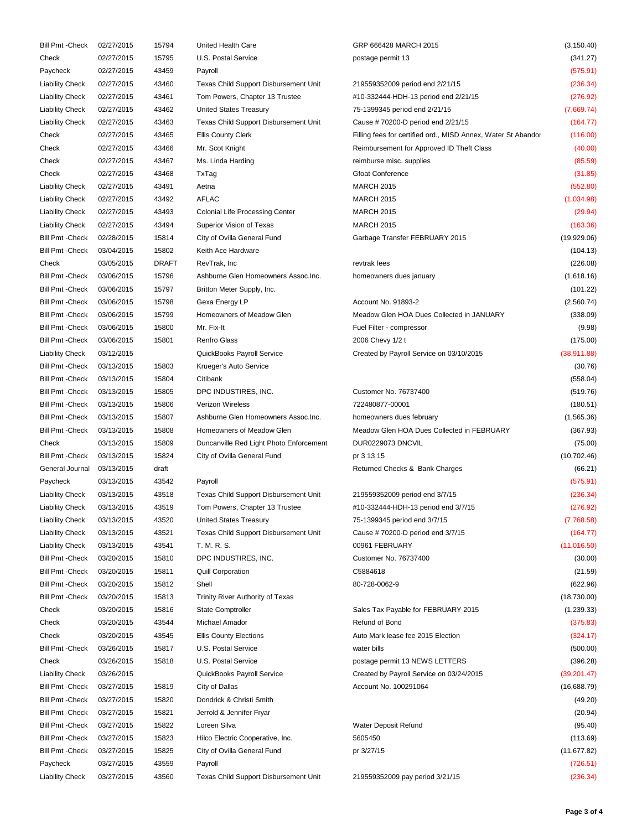| <b>Bill Pmt - Check</b> | 02/27/2015 | 15794        | United Health Care                      | GRP 666428 MARCH 2015                                         | (3, 150.40)  |
|-------------------------|------------|--------------|-----------------------------------------|---------------------------------------------------------------|--------------|
| Check                   | 02/27/2015 | 15795        | U.S. Postal Service                     | postage permit 13                                             | (341.27)     |
| Paycheck                | 02/27/2015 | 43459        | Payroll                                 |                                                               | (575.91)     |
| <b>Liability Check</b>  | 02/27/2015 | 43460        | Texas Child Support Disbursement Unit   | 219559352009 period end 2/21/15                               | (236.34)     |
| <b>Liability Check</b>  | 02/27/2015 | 43461        | Tom Powers, Chapter 13 Trustee          | #10-332444-HDH-13 period end 2/21/15                          | (276.92)     |
| <b>Liability Check</b>  | 02/27/2015 | 43462        | <b>United States Treasury</b>           | 75-1399345 period end 2/21/15                                 | (7,669.74)   |
| <b>Liability Check</b>  | 02/27/2015 | 43463        | Texas Child Support Disbursement Unit   | Cause #70200-D period end 2/21/15                             | (164.77)     |
| Check                   | 02/27/2015 | 43465        | <b>Ellis County Clerk</b>               | Filling fees for certified ord., MISD Annex, Water St Abandor | (116.00)     |
| Check                   | 02/27/2015 | 43466        | Mr. Scot Knight                         | Reimbursement for Approved ID Theft Class                     | (40.00)      |
| Check                   | 02/27/2015 | 43467        | Ms. Linda Harding                       | reimburse misc. supplies                                      | (85.59)      |
| Check                   | 02/27/2015 | 43468        | TxTag                                   | <b>Gfoat Conference</b>                                       | (31.85)      |
|                         |            |              |                                         | <b>MARCH 2015</b>                                             |              |
| <b>Liability Check</b>  | 02/27/2015 | 43491        | Aetna                                   |                                                               | (552.80)     |
| <b>Liability Check</b>  | 02/27/2015 | 43492        | <b>AFLAC</b>                            | <b>MARCH 2015</b>                                             | (1,034.98)   |
| <b>Liability Check</b>  | 02/27/2015 | 43493        | <b>Colonial Life Processing Center</b>  | <b>MARCH 2015</b>                                             | (29.94)      |
| <b>Liability Check</b>  | 02/27/2015 | 43494        | Superior Vision of Texas                | <b>MARCH 2015</b>                                             | (163.36)     |
| <b>Bill Pmt - Check</b> | 02/28/2015 | 15814        | City of Ovilla General Fund             | Garbage Transfer FEBRUARY 2015                                | (19,929.06)  |
| <b>Bill Pmt - Check</b> | 03/04/2015 | 15802        | Keith Ace Hardware                      |                                                               | (104.13)     |
| Check                   | 03/05/2015 | <b>DRAFT</b> | RevTrak, Inc.                           | revtrak fees                                                  | (226.08)     |
| <b>Bill Pmt - Check</b> | 03/06/2015 | 15796        | Ashburne Glen Homeowners Assoc.Inc.     | homeowners dues january                                       | (1,618.16)   |
| <b>Bill Pmt - Check</b> | 03/06/2015 | 15797        | Britton Meter Supply, Inc.              |                                                               | (101.22)     |
| <b>Bill Pmt - Check</b> | 03/06/2015 | 15798        | Gexa Energy LP                          | Account No. 91893-2                                           | (2,560.74)   |
| <b>Bill Pmt - Check</b> | 03/06/2015 | 15799        | Homeowners of Meadow Glen               | Meadow Glen HOA Dues Collected in JANUARY                     | (338.09)     |
| <b>Bill Pmt - Check</b> | 03/06/2015 | 15800        | Mr. Fix-It                              | Fuel Filter - compressor                                      | (9.98)       |
| <b>Bill Pmt - Check</b> | 03/06/2015 | 15801        | <b>Renfro Glass</b>                     | 2006 Chevy 1/2 t                                              | (175.00)     |
| <b>Liability Check</b>  | 03/12/2015 |              | QuickBooks Payroll Service              | Created by Payroll Service on 03/10/2015                      | (38, 911.88) |
| <b>Bill Pmt - Check</b> | 03/13/2015 | 15803        | Krueger's Auto Service                  |                                                               | (30.76)      |
| <b>Bill Pmt - Check</b> | 03/13/2015 | 15804        | Citibank                                |                                                               | (558.04)     |
| <b>Bill Pmt - Check</b> | 03/13/2015 | 15805        | DPC INDUSTIRES, INC.                    | Customer No. 76737400                                         | (519.76)     |
| <b>Bill Pmt - Check</b> | 03/13/2015 | 15806        | <b>Verizon Wireless</b>                 | 722480877-00001                                               | (180.51)     |
| <b>Bill Pmt - Check</b> | 03/13/2015 | 15807        | Ashburne Glen Homeowners Assoc.Inc.     | homeowners dues february                                      | (1, 565.36)  |
| <b>Bill Pmt - Check</b> | 03/13/2015 | 15808        | Homeowners of Meadow Glen               | Meadow Glen HOA Dues Collected in FEBRUARY                    | (367.93)     |
| Check                   | 03/13/2015 | 15809        | Duncanville Red Light Photo Enforcement | DUR0229073 DNCVIL                                             | (75.00)      |
| <b>Bill Pmt - Check</b> | 03/13/2015 | 15824        | City of Ovilla General Fund             | pr 3 13 15                                                    | (10, 702.46) |
| General Journal         | 03/13/2015 | draft        |                                         | Returned Checks & Bank Charges                                | (66.21)      |
| Paycheck                | 03/13/2015 | 43542        | Payroll                                 |                                                               | (575.91)     |
| <b>Liability Check</b>  | 03/13/2015 | 43518        | Texas Child Support Disbursement Unit   | 219559352009 period end 3/7/15                                | (236.34)     |
| <b>Liability Check</b>  | 03/13/2015 | 43519        | Tom Powers, Chapter 13 Trustee          | #10-332444-HDH-13 period end 3/7/15                           | (276.92)     |
| <b>Liability Check</b>  | 03/13/2015 | 43520        | <b>United States Treasury</b>           | 75-1399345 period end 3/7/15                                  | (7,768.58)   |
| <b>Liability Check</b>  | 03/13/2015 | 43521        | Texas Child Support Disbursement Unit   | Cause #70200-D period end 3/7/15                              | (164.77)     |
| <b>Liability Check</b>  | 03/13/2015 | 43541        | T. M. R. S.                             | 00961 FEBRUARY                                                | (11, 016.50) |
| <b>Bill Pmt - Check</b> | 03/20/2015 | 15810        | DPC INDUSTIRES, INC.                    | Customer No. 76737400                                         |              |
|                         |            |              |                                         | C5884618                                                      | (30.00)      |
| <b>Bill Pmt - Check</b> | 03/20/2015 | 15811        | <b>Quill Corporation</b>                |                                                               | (21.59)      |
| <b>Bill Pmt - Check</b> | 03/20/2015 | 15812        | Shell                                   | 80-728-0062-9                                                 | (622.96)     |
| <b>Bill Pmt - Check</b> | 03/20/2015 | 15813        | Trinity River Authority of Texas        |                                                               | (18,730.00)  |
| Check                   | 03/20/2015 | 15816        | <b>State Comptroller</b>                | Sales Tax Payable for FEBRUARY 2015                           | (1, 239.33)  |
| Check                   | 03/20/2015 | 43544        | Michael Amador                          | Refund of Bond                                                | (375.83)     |
| Check                   | 03/20/2015 | 43545        | <b>Ellis County Elections</b>           | Auto Mark lease fee 2015 Election                             | (324.17)     |
| <b>Bill Pmt - Check</b> | 03/26/2015 | 15817        | U.S. Postal Service                     | water bills                                                   | (500.00)     |
| Check                   | 03/26/2015 | 15818        | U.S. Postal Service                     | postage permit 13 NEWS LETTERS                                | (396.28)     |
| <b>Liability Check</b>  | 03/26/2015 |              | QuickBooks Payroll Service              | Created by Payroll Service on 03/24/2015                      | (39, 201.47) |
| <b>Bill Pmt - Check</b> | 03/27/2015 | 15819        | City of Dallas                          | Account No. 100291064                                         | (16,688.79)  |
| <b>Bill Pmt - Check</b> | 03/27/2015 | 15820        | Dondrick & Christi Smith                |                                                               | (49.20)      |
| <b>Bill Pmt - Check</b> | 03/27/2015 | 15821        | Jerrold & Jennifer Fryar                |                                                               | (20.94)      |
| <b>Bill Pmt - Check</b> | 03/27/2015 | 15822        | Loreen Silva                            | Water Deposit Refund                                          | (95.40)      |
| <b>Bill Pmt - Check</b> | 03/27/2015 | 15823        | Hilco Electric Cooperative, Inc.        | 5605450                                                       | (113.69)     |
| <b>Bill Pmt - Check</b> | 03/27/2015 | 15825        | City of Ovilla General Fund             | pr 3/27/15                                                    | (11, 677.82) |
| Paycheck                | 03/27/2015 | 43559        | Payroll                                 |                                                               | (726.51)     |
| <b>Liability Check</b>  | 03/27/2015 | 43560        | Texas Child Support Disbursement Unit   | 219559352009 pay period 3/21/15                               | (236.34)     |
|                         |            |              |                                         |                                                               |              |